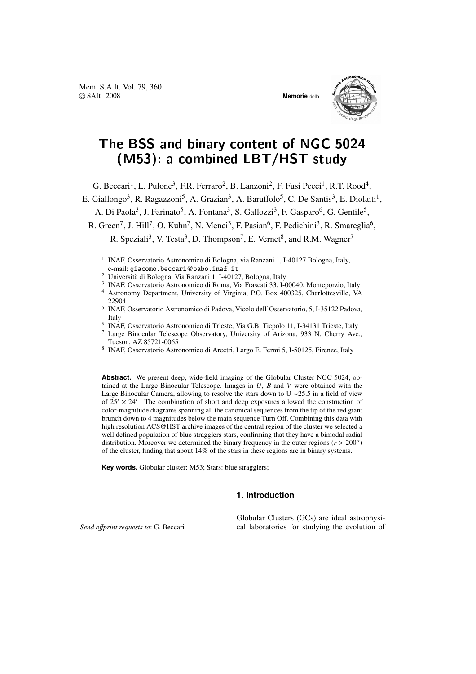Mem. S.A.It. Vol. 79, 360 c SAIt 2008 **Memorie** della



# The BSS and binary content of NGC 5024 (M53): a combined LBT/HST study

G. Beccari<sup>1</sup>, L. Pulone<sup>3</sup>, F.R. Ferraro<sup>2</sup>, B. Lanzoni<sup>2</sup>, F. Fusi Pecci<sup>1</sup>, R.T. Rood<sup>4</sup>,

E. Giallongo<sup>3</sup>, R. Ragazzoni<sup>5</sup>, A. Grazian<sup>3</sup>, A. Baruffolo<sup>5</sup>, C. De Santis<sup>3</sup>, E. Diolaiti<sup>1</sup>,

A. Di Paola<sup>3</sup>, J. Farinato<sup>5</sup>, A. Fontana<sup>3</sup>, S. Gallozzi<sup>3</sup>, F. Gasparo<sup>6</sup>, G. Gentile<sup>5</sup>,

R. Green<sup>7</sup>, J. Hill<sup>7</sup>, O. Kuhn<sup>7</sup>, N. Menci<sup>3</sup>, F. Pasian<sup>6</sup>, F. Pedichini<sup>3</sup>, R. Smareglia<sup>6</sup>,

R. Speziali<sup>3</sup>, V. Testa<sup>3</sup>, D. Thompson<sup>7</sup>, E. Vernet<sup>8</sup>, and R.M. Wagner<sup>7</sup>

- <sup>1</sup> INAF, Osservatorio Astronomico di Bologna, via Ranzani 1, I-40127 Bologna, Italy, e-mail: giacomo.beccari@oabo.inaf.it
- <sup>2</sup> Università di Bologna, Via Ranzani 1, I-40127, Bologna, Italy
- <sup>3</sup> INAF, Osservatorio Astronomico di Roma, Via Frascati 33, I-00040, Monteporzio, Italy
- <sup>4</sup> Astronomy Department, University of Virginia, P.O. Box 400325, Charlottesville, VA 22904
- 5 INAF, Osservatorio Astronomico di Padova, Vicolo dell'Osservatorio, 5, I-35122 Padova, Italy
- 6 INAF, Osservatorio Astronomico di Trieste, Via G.B. Tiepolo 11, I-34131 Trieste, Italy
- <sup>7</sup> Large Binocular Telescope Observatory, University of Arizona, 933 N. Cherry Ave., Tucson, AZ 85721-0065
- 8 INAF, Osservatorio Astronomico di Arcetri, Largo E. Fermi 5, I-50125, Firenze, Italy

**Abstract.** We present deep, wide-field imaging of the Globular Cluster NGC 5024, obtained at the Large Binocular Telescope. Images in *U*, *B* and *V* were obtained with the Large Binocular Camera, allowing to resolve the stars down to U ∼25.5 in a field of view of  $25' \times 24'$ . The combination of short and deep exposures allowed the construction of color-magnitude diagrams spanning all the canonical sequences from the tip of the red giant brunch down to 4 magnitudes below the main sequence Turn Off. Combining this data with high resolution ACS@HST archive images of the central region of the cluster we selected a well defined population of blue stragglers stars, confirming that they have a bimodal radial distribution. Moreover we determined the binary frequency in the outer regions  $(r > 200'')$ of the cluster, finding that about 14% of the stars in these regions are in binary systems.

**Key words.** Globular cluster: M53; Stars: blue stragglers;

## **1. Introduction**

*Send o*ff*print requests to*: G. Beccari

Globular Clusters (GCs) are ideal astrophysical laboratories for studying the evolution of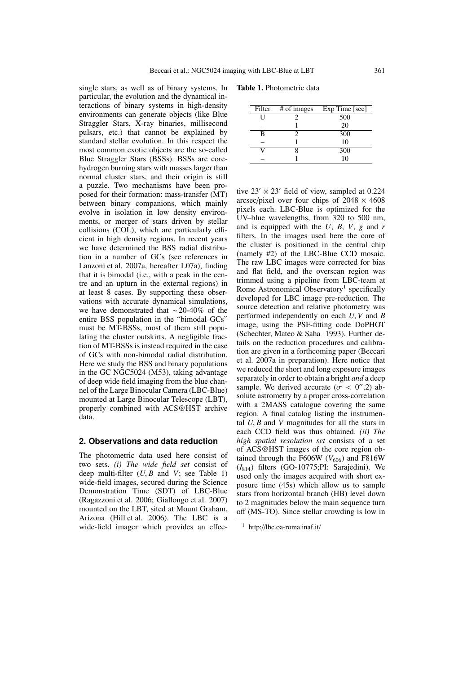single stars, as well as of binary systems. In particular, the evolution and the dynamical interactions of binary systems in high-density environments can generate objects (like Blue Straggler Stars, X-ray binaries, millisecond pulsars, etc.) that cannot be explained by standard stellar evolution. In this respect the most common exotic objects are the so-called Blue Straggler Stars (BSSs). BSSs are corehydrogen burning stars with masses larger than normal cluster stars, and their origin is still a puzzle. Two mechanisms have been proposed for their formation: mass-transfer (MT) between binary companions, which mainly evolve in isolation in low density environments, or merger of stars driven by stellar collisions (COL), which are particularly efficient in high density regions. In recent years we have determined the BSS radial distribution in a number of GCs (see references in Lanzoni et al. 2007a, hereafter L07a), finding that it is bimodal (i.e., with a peak in the centre and an upturn in the external regions) in at least 8 cases. By supporting these observations with accurate dynamical simulations, we have demonstrated that ∼ 20-40% of the entire BSS population in the "bimodal GCs" must be MT-BSSs, most of them still populating the cluster outskirts. A negligible fraction of MT-BSSs is instead required in the case of GCs with non-bimodal radial distribution. Here we study the BSS and binary populations in the GC NGC5024 (M53), taking advantage of deep wide field imaging from the blue channel of the Large Binocular Camera (LBC-Blue) mounted at Large Binocular Telescope (LBT), properly combined with ACS@HST archive data.

#### **2. Observations and data reduction**

The photometric data used here consist of two sets. *(i) The wide field set* consist of deep multi-filter  $(U, B$  and  $V$ ; see Table 1) wide-field images, secured during the Science Demonstration Time (SDT) of LBC-Blue (Ragazzoni et al. 2006; Giallongo et al. 2007) mounted on the LBT, sited at Mount Graham, Arizona (Hill et al. 2006). The LBC is a wide-field imager which provides an effec-

Table 1. Photometric data

| Filter | $#$ of images | Exp Time [sec] |
|--------|---------------|----------------|
|        |               | 500            |
|        |               | 20             |
| в      |               | 300            |
|        |               | 10             |
|        |               | 300            |
|        |               | 10             |

tive  $23' \times 23'$  field of view, sampled at 0.224 arcsec/pixel over four chips of  $2048 \times 4608$ pixels each. LBC-Blue is optimized for the UV–blue wavelengths, from 320 to 500 nm, and is equipped with the *U*, *B*, *V*, *g* and *r* filters. In the images used here the core of the cluster is positioned in the central chip (namely #2) of the LBC-Blue CCD mosaic. The raw LBC images were corrected for bias and flat field, and the overscan region was trimmed using a pipeline from LBC-team at Rome Astronomical Observatory<sup>1</sup> specifically developed for LBC image pre-reduction. The source detection and relative photometry was performed independently on each *U*, *V* and *B* image, using the PSF-fitting code DoPHOT (Schechter, Mateo & Saha 1993). Further details on the reduction procedures and calibration are given in a forthcoming paper (Beccari et al. 2007a in preparation). Here notice that we reduced the short and long exposure images separately in order to obtain a bright *and* a deep sample. We derived accurate  $(\sigma < 0''.2)$  absolute astrometry by a proper cross-correlation with a 2MASS catalogue covering the same region. A final catalog listing the instrumental  $U, B$  and  $V$  magnitudes for all the stars in each CCD field was thus obtained. *(ii) The high spatial resolution set* consists of a set of ACS@HST images of the core region obtained through the F606W ( $V<sub>606</sub>$ ) and F816W (*I*814) filters (GO-10775;PI: Sarajedini). We used only the images acquired with short exposure time (45s) which allow us to sample stars from horizontal branch (HB) level down to 2 magnitudes below the main sequence turn off (MS-TO). Since stellar crowding is low in

<sup>1</sup> http://lbc.oa-roma.inaf.it/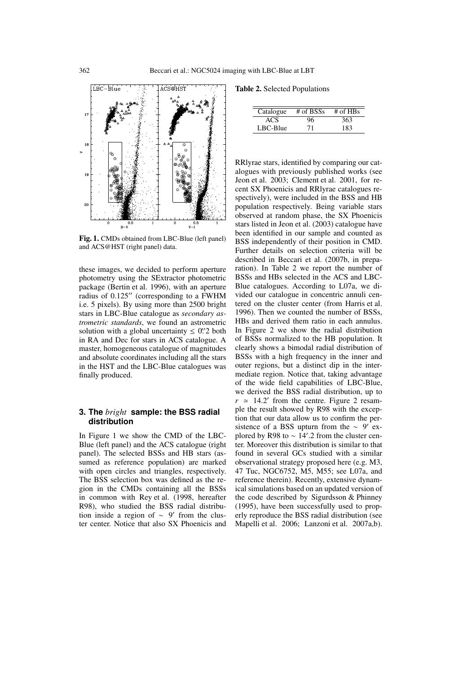

Fig. 1. CMDs obtained from LBC-Blue (left panel) and ACS@HST (right panel) data.

these images, we decided to perform aperture photometry using the SExtractor photometric package (Bertin et al. 1996), with an aperture radius of  $0.125$ " (corresponding to a FWHM i.e. 5 pixels). By using more than 2500 bright stars in LBC-Blue catalogue as *secondary astrometric standards*, we found an astrometric solution with a global uncertainty  $\leq 0$ .  $\frac{1}{2}$  both in RA and Dec for stars in ACS catalogue. A master, homogeneous catalogue of magnitudes and absolute coordinates including all the stars in the HST and the LBC-Blue catalogues was finally produced.

## **3. The** *bright* **sample: the BSS radial distribution**

In Figure 1 we show the CMD of the LBC-Blue (left panel) and the ACS catalogue (right panel). The selected BSSs and HB stars (assumed as reference population) are marked with open circles and triangles, respectively. The BSS selection box was defined as the region in the CMDs containing all the BSSs in common with Rey et al. (1998, hereafter R98), who studied the BSS radial distribution inside a region of  $\sim$  9' from the cluster center. Notice that also SX Phoenicis and

Table 2. Selected Populations

| Catalogue | $#$ of BSSs | $#$ of HBs |
|-----------|-------------|------------|
| ACS       |             | 363        |
| LBC-Blue  | 71          | 183        |
|           |             |            |

RRlyrae stars, identified by comparing our catalogues with previously published works (see Jeon et al. 2003; Clement et al. 2001, for recent SX Phoenicis and RRlyrae catalogues respectively), were included in the BSS and HB population respectively. Being variable stars observed at random phase, the SX Phoenicis stars listed in Jeon et al. (2003) catalogue have been identified in our sample and counted as BSS independently of their position in CMD. Further details on selection criteria will be described in Beccari et al. (2007b, in preparation). In Table 2 we report the number of BSSs and HBs selected in the ACS and LBC-Blue catalogues. According to L07a, we divided our catalogue in concentric annuli centered on the cluster center (from Harris et al. 1996). Then we counted the number of BSSs, HBs and derived them ratio in each annulus. In Figure 2 we show the radial distribution of BSSs normalized to the HB population. It clearly shows a bimodal radial distribution of BSSs with a high frequency in the inner and outer regions, but a distinct dip in the intermediate region. Notice that, taking advantage of the wide field capabilities of LBC-Blue, we derived the BSS radial distribution, up to  $r \approx 14.2'$  from the centre. Figure 2 resample the result showed by R98 with the exception that our data allow us to confirm the persistence of a BSS upturn from the  $\sim 9'$  explored by R98 to  $\sim 14'$ .2 from the cluster center. Moreover this distribution is similar to that found in several GCs studied with a similar observational strategy proposed here (e.g. M3, 47 Tuc, NGC6752, M5, M55; see L07a, and reference therein). Recently, extensive dynamical simulations based on an updated version of the code described by Sigurdsson & Phinney (1995), have been successfully used to properly reproduce the BSS radial distribution (see Mapelli et al. 2006; Lanzoni et al. 2007a,b).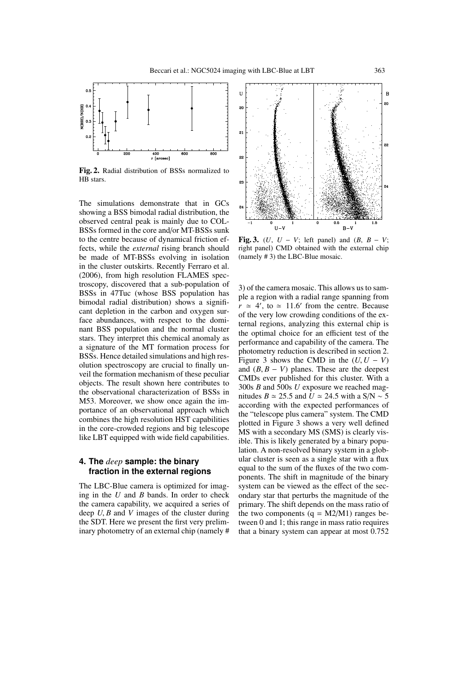

Fig. 2. Radial distribution of BSSs normalized to HB stars.

The simulations demonstrate that in GCs showing a BSS bimodal radial distribution, the observed central peak is mainly due to COL-BSSs formed in the core and/or MT-BSSs sunk to the centre because of dynamical friction effects, while the *external* rising branch should be made of MT-BSSs evolving in isolation in the cluster outskirts. Recently Ferraro et al. (2006), from high resolution FLAMES spectroscopy, discovered that a sub-population of BSSs in 47Tuc (whose BSS population has bimodal radial distribution) shows a significant depletion in the carbon and oxygen surface abundances, with respect to the dominant BSS population and the normal cluster stars. They interpret this chemical anomaly as a signature of the MT formation process for BSSs. Hence detailed simulations and high resolution spectroscopy are crucial to finally unveil the formation mechanism of these peculiar objects. The result shown here contributes to the observational characterization of BSSs in M53. Moreover, we show once again the importance of an observational approach which combines the high resolution HST capabilities in the core-crowded regions and big telescope like LBT equipped with wide field capabilities.

## **4. The** *deep* **sample: the binary fraction in the external regions**

The LBC-Blue camera is optimized for imaging in the *U* and *B* bands. In order to check the camera capability, we acquired a series of deep *U*, *B* and *V* images of the cluster during the SDT. Here we present the first very preliminary photometry of an external chip (namely #



Fig. 3. (*U*,  $U - V$ ; left panel) and  $(B, B - V)$ ; right panel) CMD obtained with the external chip (namely # 3) the LBC-Blue mosaic.

3) of the camera mosaic. This allows us to sample a region with a radial range spanning from  $r \approx 4'$ , to  $\approx 11.6'$  from the centre. Because of the very low crowding conditions of the external regions, analyzing this external chip is the optimal choice for an efficient test of the performance and capability of the camera. The photometry reduction is described in section 2. Figure 3 shows the CMD in the  $(U, U - V)$ and  $(B, B - V)$  planes. These are the deepest CMDs ever published for this cluster. With a 300s *B* and 500s *U* exposure we reached magnitudes *B*  $\simeq$  25.5 and  $\hat{U}$   $\simeq$  24.5 with a S/N  $\sim$  5 according with the expected performances of the "telescope plus camera" system. The CMD plotted in Figure 3 shows a very well defined MS with a secondary MS (SMS) is clearly visible. This is likely generated by a binary population. A non-resolved binary system in a globular cluster is seen as a single star with a flux equal to the sum of the fluxes of the two components. The shift in magnitude of the binary system can be viewed as the effect of the secondary star that perturbs the magnitude of the primary. The shift depends on the mass ratio of the two components  $(q = M2/M1)$  ranges between 0 and 1; this range in mass ratio requires that a binary system can appear at most 0.752